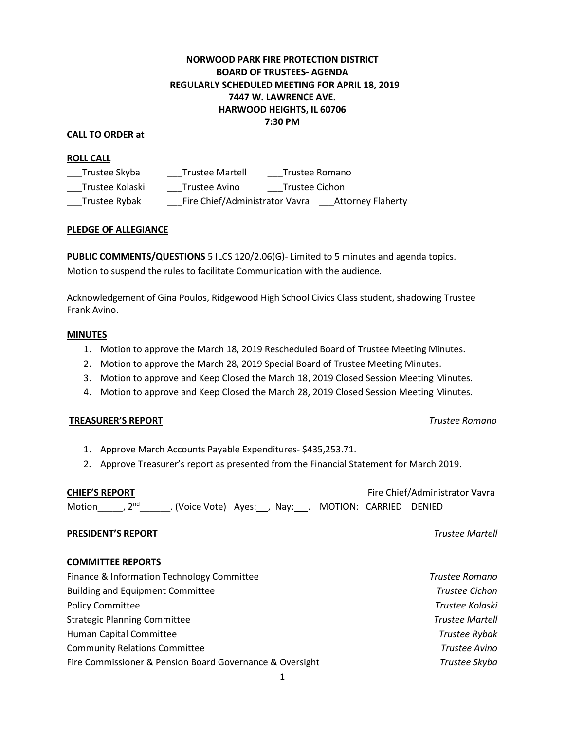# **NORWOOD PARK FIRE PROTECTION DISTRICT BOARD OF TRUSTEES- AGENDA REGULARLY SCHEDULED MEETING FOR APRIL 18, 2019 7447 W. LAWRENCE AVE. HARWOOD HEIGHTS, IL 60706 7:30 PM**

#### **CALL TO ORDER at** \_\_\_\_\_\_\_\_\_\_

#### **ROLL CALL**

| Trustee Skyba   | <b>Trustee Martell</b>         |                | Trustee Romano           |
|-----------------|--------------------------------|----------------|--------------------------|
| Trustee Kolaski | Trustee Avino                  | Trustee Cichon |                          |
| Trustee Rybak   | Fire Chief/Administrator Vavra |                | <b>Attorney Flaherty</b> |

#### **PLEDGE OF ALLEGIANCE**

**PUBLIC COMMENTS/QUESTIONS** 5 ILCS 120/2.06(G)- Limited to 5 minutes and agenda topics. Motion to suspend the rules to facilitate Communication with the audience.

Acknowledgement of Gina Poulos, Ridgewood High School Civics Class student, shadowing Trustee Frank Avino.

#### **MINUTES**

- 1. Motion to approve the March 18, 2019 Rescheduled Board of Trustee Meeting Minutes.
- 2. Motion to approve the March 28, 2019 Special Board of Trustee Meeting Minutes.
- 3. Motion to approve and Keep Closed the March 18, 2019 Closed Session Meeting Minutes.
- 4. Motion to approve and Keep Closed the March 28, 2019 Closed Session Meeting Minutes.

### **TREASURER'S REPORT** *Trustee Romano*

- 1. Approve March Accounts Payable Expenditures- \$435,253.71.
- 2. Approve Treasurer's report as presented from the Financial Statement for March 2019.

| <b>CHIEF'S REPORT</b>    |  |                                                             |  |  | Fire Chief/Administrator Vavra |  |  |
|--------------------------|--|-------------------------------------------------------------|--|--|--------------------------------|--|--|
| Motion , 2 <sup>nd</sup> |  | __. (Voice Vote) Ayes:___, Nay:____. MOTION: CARRIED DENIED |  |  |                                |  |  |

### **PRESIDENT'S REPORT** *Trustee Martell*

### **COMMITTEE REPORTS**

| Finance & Information Technology Committee               | Trustee Romano         |
|----------------------------------------------------------|------------------------|
| <b>Building and Equipment Committee</b>                  | Trustee Cichon         |
| <b>Policy Committee</b>                                  | Trustee Kolaski        |
| <b>Strategic Planning Committee</b>                      | <b>Trustee Martell</b> |
| Human Capital Committee                                  | <b>Trustee Rybak</b>   |
| <b>Community Relations Committee</b>                     | Trustee Avino          |
| Fire Commissioner & Pension Board Governance & Oversight | Trustee Skyba          |
|                                                          |                        |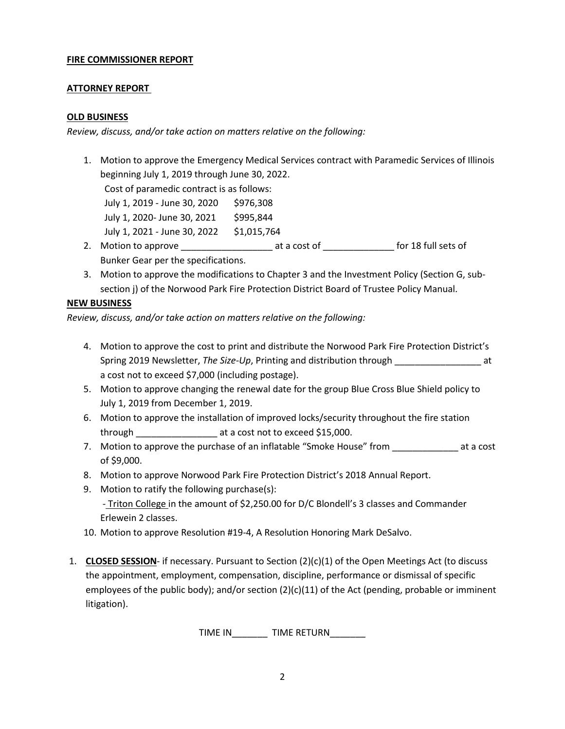### **FIRE COMMISSIONER REPORT**

### **ATTORNEY REPORT**

### **OLD BUSINESS**

*Review, discuss, and/or take action on matters relative on the following:*

1. Motion to approve the Emergency Medical Services contract with Paramedic Services of Illinois beginning July 1, 2019 through June 30, 2022.

Cost of paramedic contract is as follows:

| July 1, 2019 - June 30, 2020 | \$976,308   |
|------------------------------|-------------|
| July 1, 2020- June 30, 2021  | \$995,844   |
| July 1, 2021 - June 30, 2022 | \$1,015,764 |

- 2. Motion to approve \_\_\_\_\_\_\_\_\_\_\_\_\_\_\_\_\_\_\_\_\_\_\_\_ at a cost of \_\_\_\_\_\_\_\_\_\_\_\_\_\_\_\_\_ for 18 full sets of Bunker Gear per the specifications.
- 3. Motion to approve the modifications to Chapter 3 and the Investment Policy (Section G, subsection j) of the Norwood Park Fire Protection District Board of Trustee Policy Manual.

## **NEW BUSINESS**

*Review, discuss, and/or take action on matters relative on the following:*

- 4. Motion to approve the cost to print and distribute the Norwood Park Fire Protection District's Spring 2019 Newsletter, *The Size-Up*, Printing and distribution through \_\_\_\_\_\_\_\_\_\_\_\_\_\_\_\_\_ at a cost not to exceed \$7,000 (including postage).
- 5. Motion to approve changing the renewal date for the group Blue Cross Blue Shield policy to July 1, 2019 from December 1, 2019.
- 6. Motion to approve the installation of improved locks/security throughout the fire station through \_\_\_\_\_\_\_\_\_\_\_\_\_\_\_\_\_\_\_\_\_\_\_ at a cost not to exceed \$15,000.
- 7. Motion to approve the purchase of an inflatable "Smoke House" from \_\_\_\_\_\_\_\_\_\_\_\_\_\_\_ at a cost of \$9,000.
- 8. Motion to approve Norwood Park Fire Protection District's 2018 Annual Report.
- 9. Motion to ratify the following purchase(s): - Triton College in the amount of \$2,250.00 for D/C Blondell's 3 classes and Commander Erlewein 2 classes.
- 10. Motion to approve Resolution #19-4, A Resolution Honoring Mark DeSalvo.
- 1. **CLOSED SESSION** if necessary. Pursuant to Section (2)(c)(1) of the Open Meetings Act (to discuss the appointment, employment, compensation, discipline, performance or dismissal of specific employees of the public body); and/or section  $(2)(c)(11)$  of the Act (pending, probable or imminent litigation).

TIME IN \_\_\_\_\_\_\_ TIME RETURN